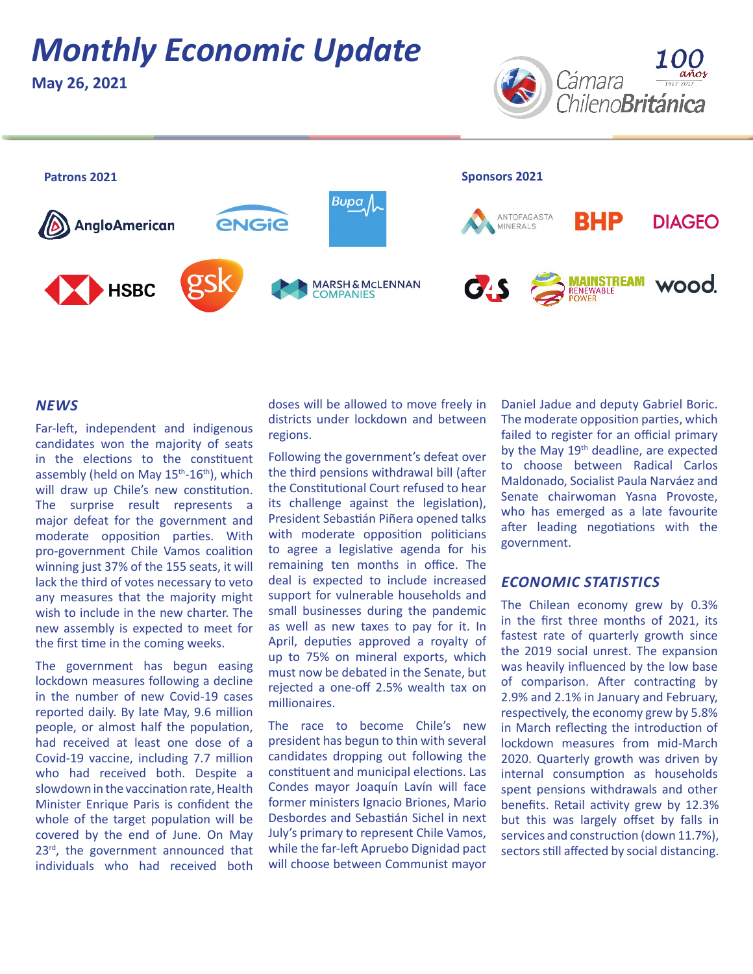# *Monthly Economic Update*

**May 26, 2021**





### *NEWS*

Far-left, independent and indigenous candidates won the majority of seats in the elections to the constituent assembly (held on May 15<sup>th</sup>-16<sup>th</sup>), which will draw up Chile's new constitution. The surprise result represents a major defeat for the government and moderate opposition parties. With pro-government Chile Vamos coalition winning just 37% of the 155 seats, it will lack the third of votes necessary to veto any measures that the majority might wish to include in the new charter. The new assembly is expected to meet for the first time in the coming weeks.

The government has begun easing lockdown measures following a decline in the number of new Covid-19 cases reported daily. By late May, 9.6 million people, or almost half the population, had received at least one dose of a Covid-19 vaccine, including 7.7 million who had received both. Despite a slowdown in the vaccination rate, Health Minister Enrique Paris is confident the whole of the target population will be covered by the end of June. On May 23rd, the government announced that individuals who had received both doses will be allowed to move freely in districts under lockdown and between regions.

Following the government's defeat over the third pensions withdrawal bill (after the Constitutional Court refused to hear its challenge against the legislation), President Sebastián Piñera opened talks with moderate opposition politicians to agree a legislative agenda for his remaining ten months in office. The deal is expected to include increased support for vulnerable households and small businesses during the pandemic as well as new taxes to pay for it. In April, deputies approved a royalty of up to 75% on mineral exports, which must now be debated in the Senate, but rejected a one-off 2.5% wealth tax on millionaires.

The race to become Chile's new president has begun to thin with several candidates dropping out following the constituent and municipal elections. Las Condes mayor Joaquín Lavín will face former ministers Ignacio Briones, Mario Desbordes and Sebastián Sichel in next July's primary to represent Chile Vamos, while the far-left Apruebo Dignidad pact will choose between Communist mayor

Daniel Jadue and deputy Gabriel Boric. The moderate opposition parties, which failed to register for an official primary by the May 19<sup>th</sup> deadline, are expected to choose between Radical Carlos Maldonado, Socialist Paula Narváez and Senate chairwoman Yasna Provoste, who has emerged as a late favourite after leading negotiations with the government.

### *ECONOMIC STATISTICS*

The Chilean economy grew by 0.3% in the first three months of 2021, its fastest rate of quarterly growth since the 2019 social unrest. The expansion was heavily influenced by the low base of comparison. After contracting by 2.9% and 2.1% in January and February, respectively, the economy grew by 5.8% in March reflecting the introduction of lockdown measures from mid-March 2020. Quarterly growth was driven by internal consumption as households spent pensions withdrawals and other benefits. Retail activity grew by 12.3% but this was largely offset by falls in services and construction (down 11.7%), sectors still affected by social distancing.